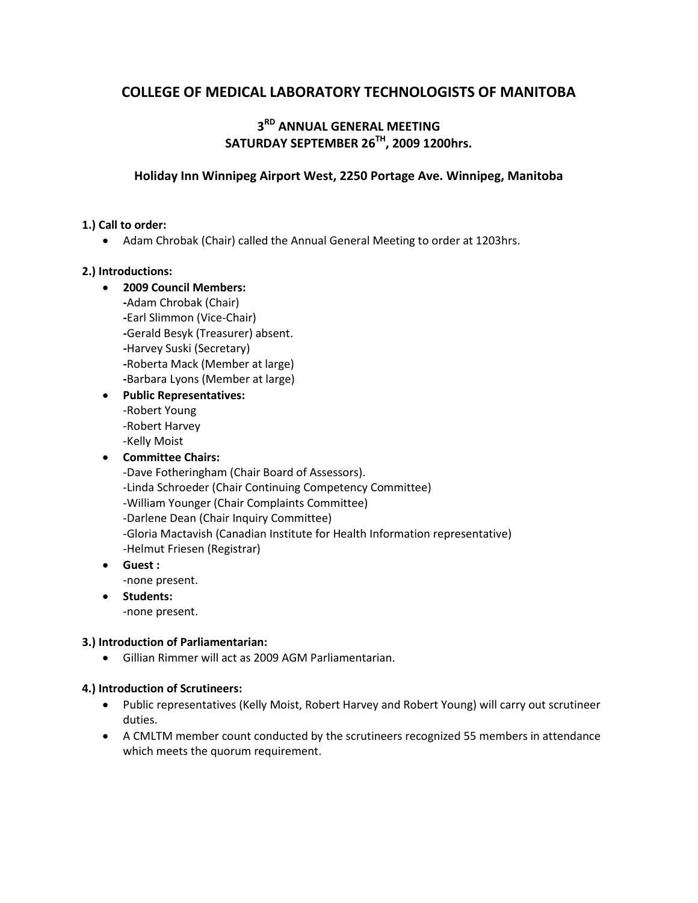# **COLLEGE OF MEDICAL LABORATORY TECHNOLOGISTS OF MANITOBA**

## **3RD ANNUAL GENERAL MEETING SATURDAY SEPTEMBER 26TH, 2009 1200hrs.**

## **Holiday Inn Winnipeg Airport West, 2250 Portage Ave. Winnipeg, Manitoba**

## **1.) Call to order:**

• Adam Chrobak (Chair) called the Annual General Meeting to order at 1203hrs.

## **2.) Introductions:**

- **2009 Council Members: -**Adam Chrobak (Chair) **-**Earl Slimmon (Vice-Chair) **-**Gerald Besyk (Treasurer) absent. **-**Harvey Suski (Secretary) **-**Roberta Mack (Member at large)
	- **-**Barbara Lyons (Member at large)
- **Public Representatives:**
	- -Robert Young
	- -Robert Harvey
	- -Kelly Moist
- **Committee Chairs:**
	- -Dave Fotheringham (Chair Board of Assessors). -Linda Schroeder (Chair Continuing Competency Committee) -William Younger (Chair Complaints Committee) -Darlene Dean (Chair Inquiry Committee) -Gloria Mactavish (Canadian Institute for Health Information representative) -Helmut Friesen (Registrar)
- **Guest :**
	- -none present.
- **Students:**

-none present.

### **3.) Introduction of Parliamentarian:**

• Gillian Rimmer will act as 2009 AGM Parliamentarian.

### **4.) Introduction of Scrutineers:**

- Public representatives (Kelly Moist, Robert Harvey and Robert Young) will carry out scrutineer duties.
- A CMLTM member count conducted by the scrutineers recognized 55 members in attendance which meets the quorum requirement.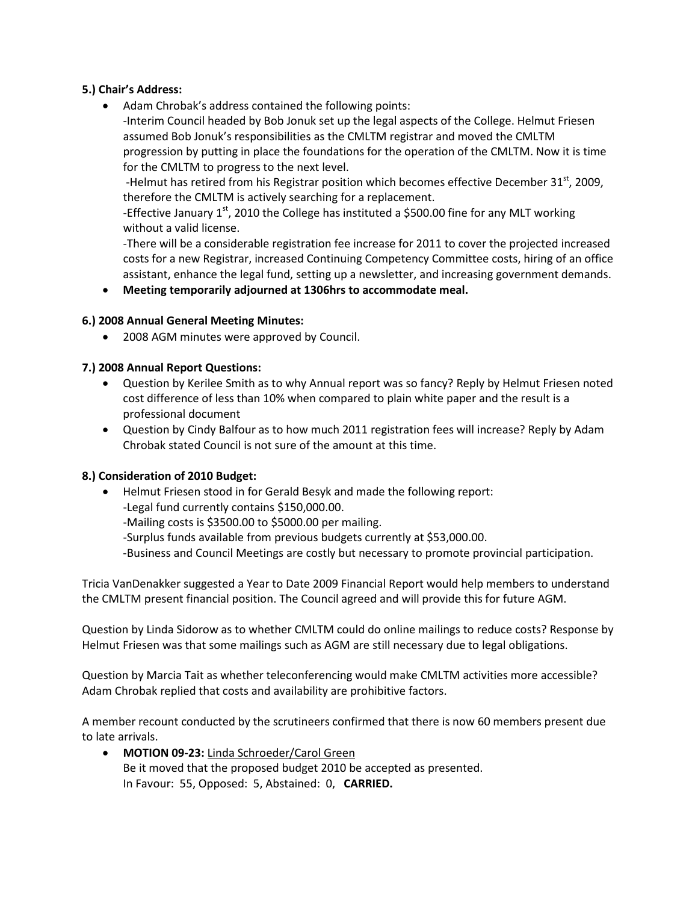## **5.) Chair's Address:**

• Adam Chrobak's address contained the following points: -Interim Council headed by Bob Jonuk set up the legal aspects of the College. Helmut Friesen assumed Bob Jonuk's responsibilities as the CMLTM registrar and moved the CMLTM progression by putting in place the foundations for the operation of the CMLTM. Now it is time for the CMLTM to progress to the next level.

-Helmut has retired from his Registrar position which becomes effective December  $31<sup>st</sup>$ , 2009, therefore the CMLTM is actively searching for a replacement.

-Effective January  $1^{st}$ , 2010 the College has instituted a \$500.00 fine for any MLT working without a valid license.

-There will be a considerable registration fee increase for 2011 to cover the projected increased costs for a new Registrar, increased Continuing Competency Committee costs, hiring of an office assistant, enhance the legal fund, setting up a newsletter, and increasing government demands.

## • **Meeting temporarily adjourned at 1306hrs to accommodate meal.**

## **6.) 2008 Annual General Meeting Minutes:**

• 2008 AGM minutes were approved by Council.

## **7.) 2008 Annual Report Questions:**

- Question by Kerilee Smith as to why Annual report was so fancy? Reply by Helmut Friesen noted cost difference of less than 10% when compared to plain white paper and the result is a professional document
- Question by Cindy Balfour as to how much 2011 registration fees will increase? Reply by Adam Chrobak stated Council is not sure of the amount at this time.

### **8.) Consideration of 2010 Budget:**

- Helmut Friesen stood in for Gerald Besyk and made the following report:
	- -Legal fund currently contains \$150,000.00.
	- -Mailing costs is \$3500.00 to \$5000.00 per mailing.
	- -Surplus funds available from previous budgets currently at \$53,000.00.
	- -Business and Council Meetings are costly but necessary to promote provincial participation.

Tricia VanDenakker suggested a Year to Date 2009 Financial Report would help members to understand the CMLTM present financial position. The Council agreed and will provide this for future AGM.

Question by Linda Sidorow as to whether CMLTM could do online mailings to reduce costs? Response by Helmut Friesen was that some mailings such as AGM are still necessary due to legal obligations.

Question by Marcia Tait as whether teleconferencing would make CMLTM activities more accessible? Adam Chrobak replied that costs and availability are prohibitive factors.

A member recount conducted by the scrutineers confirmed that there is now 60 members present due to late arrivals.

• **MOTION 09-23:** Linda Schroeder/Carol Green Be it moved that the proposed budget 2010 be accepted as presented. In Favour: 55, Opposed: 5, Abstained: 0, **CARRIED.**